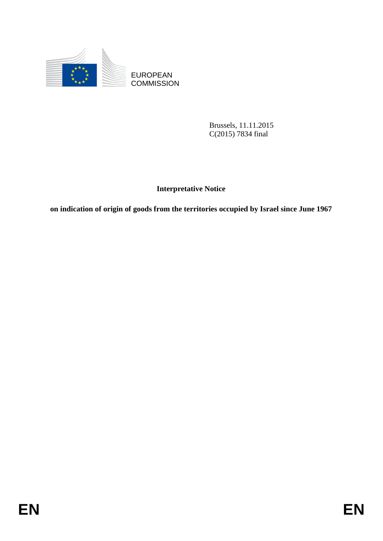

EUROPEAN<br>COMMISSION

Brussels, 11.11.2015 C(2015) 7834 final

**Interpretative Notice**

EUROPEAN<br>
EUROPEAN<br>
ENGRISSION<br>
ENGRISSION<br>
ENGRISSION<br>
EUROPEAN<br>
ENGRISSION<br>
EUROPEAN<br>
EUROPEAN<br>
EUROPEAN<br>
EUROPEAN<br>
EUROPEAN<br>
EUROPEAN<br>
EUROPEAN<br>
EUROPEAN<br>
EUROPEAN<br>
EUROPEAN<br>
EUROPEAN<br>
EUROPEAN<br>
EUROPEAN<br>
EUROPEAN<br>
EURO **on indication of origin of goods from the territories occupied by Israel since June 1967**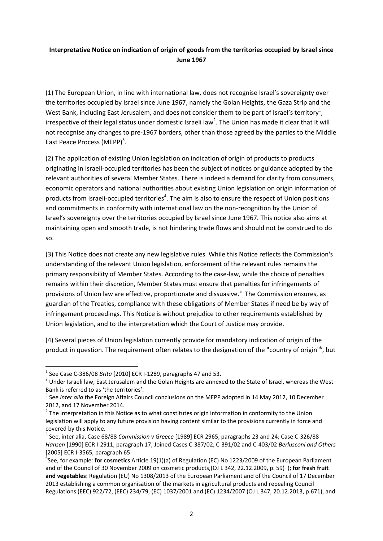## **Interpretative Notice on indication of origin of goods from the territories occupied by Israel since June 1967**

(1) The European Union, in line with international law, does not recognise Israel's sovereignty over the territories occupied by Israel since June 1967, namely the Golan Heights, the Gaza Strip and the West Bank, including East Jerusalem, and does not consider them to be part of Israel's territory<sup>1</sup>, irrespective of their legal status under domestic Israeli law<sup>2</sup>. The Union has made it clear that it will not recognise any changes to pre-1967 borders, other than those agreed by the parties to the Middle East Peace Process (MEPP)<sup>3</sup>.

(2) The application of existing Union legislation on indication of origin of products to products originating in Israeli-occupied territories has been the subject of notices or guidance adopted by the relevant authorities of several Member States. There is indeed a demand for clarity from consumers, economic operators and national authorities about existing Union legislation on origin information of products from Israeli-occupied territories<sup>4</sup>. The aim is also to ensure the respect of Union positions and commitments in conformity with international law on the non-recognition by the Union of Israel's sovereignty over the territories occupied by Israel since June 1967. This notice also aims at maintaining open and smooth trade, is not hindering trade flows and should not be construed to do so.

(3) This Notice does not create any new legislative rules. While this Notice reflects the Commission's understanding of the relevant Union legislation, enforcement of the relevant rules remains the primary responsibility of Member States. According to the case-law, while the choice of penalties remains within their discretion, Member States must ensure that penalties for infringements of provisions of Union law are effective, proportionate and dissuasive.<sup>5</sup> The Commission ensures, as guardian of the Treaties, compliance with these obligations of Member States if need be by way of infringement proceedings. This Notice is without prejudice to other requirements established by Union legislation, and to the interpretation which the Court of Justice may provide.

(4) Several pieces of Union legislation currently provide for mandatory indication of origin of the product in question. The requirement often relates to the designation of the "country of origin"<sup>6</sup>, but

**.** 

<sup>1</sup> See Case C-386/08 *Brita* [2010] ECR I-1289, paragraphs 47 and 53.

 $2$  Under Israeli law, East Jerusalem and the Golan Heights are annexed to the State of Israel, whereas the West Bank is referred to as 'the territories'.

<sup>&</sup>lt;sup>3</sup> See *inter alia* the Foreign Affairs Council conclusions on the MEPP adopted in 14 May 2012, 10 December 2012, and 17 November 2014.

 $<sup>4</sup>$  The interpretation in this Notice as to what constitutes origin information in conformity to the Union</sup> legislation will apply to any future provision having content similar to the provisions currently in force and covered by this Notice.

<sup>5</sup> See, inter alia, Case 68/88 *Commission* v *Greece* [1989] ECR 2965, paragraphs 23 and 24; Case C-326/88 *Hansen* [1990] ECR I-2911, paragraph 17; Joined Cases C-387/02, C-391/02 and C-403/02 *Berlusconi and Others* [2005] ECR I-3565, paragraph 65

<sup>6</sup> See, for example: **for cosmetics** Article 19(1)(a) of Regulation (EC) No 1223/2009 of the European Parliament and of the Council of 30 November 2009 on cosmetic products,(OJ L 342, 22.12.2009, p. 59) ); **for fresh fruit and vegetables**: Regulation (EU) No 1308/2013 of the European Parliament and of the Council of 17 December 2013 establishing a common organisation of the markets in agricultural products and repealing Council Regulations (EEC) 922/72, (EEC) 234/79, (EC) 1037/2001 and (EC) 1234/2007 (OJ L 347, 20.12.2013, p.671), and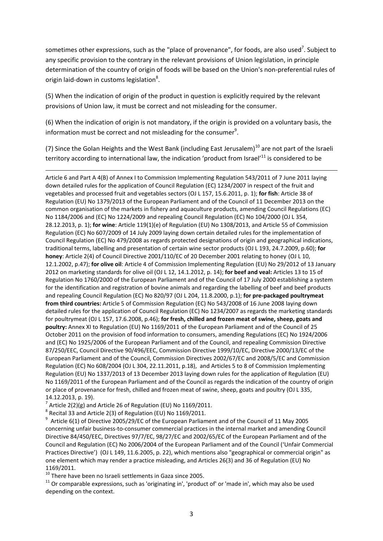sometimes other expressions, such as the "place of provenance", for foods, are also used<sup>7</sup>. Subject to any specific provision to the contrary in the relevant provisions of Union legislation, in principle determination of the country of origin of foods will be based on the Union's non-preferential rules of origin laid-down in customs legislation<sup>8</sup>.

(5) When the indication of origin of the product in question is explicitly required by the relevant provisions of Union law, it must be correct and not misleading for the consumer.

(6) When the indication of origin is not mandatory, if the origin is provided on a voluntary basis, the information must be correct and not misleading for the consumer $9$ .

(7) Since the Golan Heights and the West Bank (including East Jerusalem)<sup>10</sup> are not part of the Israeli territory according to international law, the indication 'product from Israel'<sup>11</sup> is considered to be

Article 6 and Part A 4(B) of Annex I to Commission Implementing Regulation 543/2011 of 7 June 2011 laying down detailed rules for the application of Council Regulation (EC) 1234/2007 in respect of the fruit and vegetables and processed fruit and vegetables sectors (OJ L 157, 15.6.2011, p. 1); **for fish**: Article 38 of Regulation (EU) No 1379/2013 of the European Parliament and of the Council of 11 December 2013 on the common organisation of the markets in fishery and aquaculture products, amending Council Regulations (EC) No 1184/2006 and (EC) No 1224/2009 and repealing Council Regulation (EC) No 104/2000 (OJ L 354, 28.12.2013, p. 1); **for wine**: Article 119(1)(e) of Regulation (EU) No 1308/2013, and Article 55 of Commission Regulation (EC) No 607/2009 of 14 July 2009 laying down certain detailed rules for the implementation of Council Regulation (EC) No 479/2008 as regards protected designations of origin and geographical indications, traditional terms, labelling and presentation of certain wine sector products (OJ L 193, 24.7.2009, p.60); **for honey**: Article 2(4) of Council Directive 2001/110/EC of 20 December 2001 relating to honey (OJ L 10, 12.1.2002, p.47); **for olive oil**: Article 4 of Commission Implementing Regulation (EU) No 29/2012 of 13 January 2012 on marketing standards for olive oil (OJ L 12, 14.1.2012, p. 14); **for beef and veal:** Articles 13 to 15 of Regulation No 1760/2000 of the European Parliament and of the Council of 17 July 2000 establishing a system for the identification and registration of bovine animals and regarding the labelling of beef and beef products and repealing Council Regulation (EC) No 820/97 (OJ L 204, 11.8.2000, p.1); **for pre-packaged poultrymeat from third countries:** Article 5 of Commission Regulation (EC) No 543/2008 of 16 June 2008 laying down detailed rules for the application of Council Regulation (EC) No 1234/2007 as regards the marketing standards for poultrymeat (OJ L 157, 17.6.2008, p.46); **for fresh, chilled and frozen meat of swine, sheep, goats and poultry:** Annex XI to Regulation (EU) No 1169/2011 of the European Parliament and of the Council of 25 October 2011 on the provision of food information to consumers, amending Regulations (EC) No 1924/2006 and (EC) No 1925/2006 of the European Parliament and of the Council, and repealing Commission Directive 87/250/EEC, Council Directive 90/496/EEC, Commission Directive 1999/10/EC, Directive 2000/13/EC of the European Parliament and of the Council, Commission Directives 2002/67/EC and 2008/5/EC and Commission Regulation (EC) No 608/2004 (OJ L 304, 22.11.2011, p.18), and Articles 5 to 8 of Commission Implementing Regulation (EU) No 1337/2013 of 13 December 2013 laying down rules for the application of Regulation (EU) No 1169/2011 of the European Parliament and of the Council as regards the indication of the country of origin or place of provenance for fresh, chilled and frozen meat of swine, sheep, goats and poultry (OJ L 335, 14.12.2013, p. 19).

 $^7$  Article 2(2)(g) and Article 26 of Regulation (EU) No 1169/2011.

 $^8$  Recital 33 and Article 2(3) of Regulation (EU) No 1169/2011.

**.** 

 $^9$  Article 6(1) of Directive 2005/29/EC of the European Parliament and of the Council of 11 May 2005 concerning unfair business-to-consumer commercial practices in the internal market and amending Council Directive 84/450/EEC, Directives 97/7/EC, 98/27/EC and 2002/65/EC of the European Parliament and of the Council and Regulation (EC) No 2006/2004 of the European Parliament and of the Council ('Unfair Commercial Practices Directive')(OJ L 149, 11.6.2005, p. 22), which mentions also "geographical or commercial origin" as one element which may render a practice misleading, and Articles 26(3) and 36 of Regulation (EU) No 1169/2011.

 $10$  There have been no Israeli settlements in Gaza since 2005.

 $11$  Or comparable expressions, such as 'originating in', 'product of' or 'made in', which may also be used depending on the context.